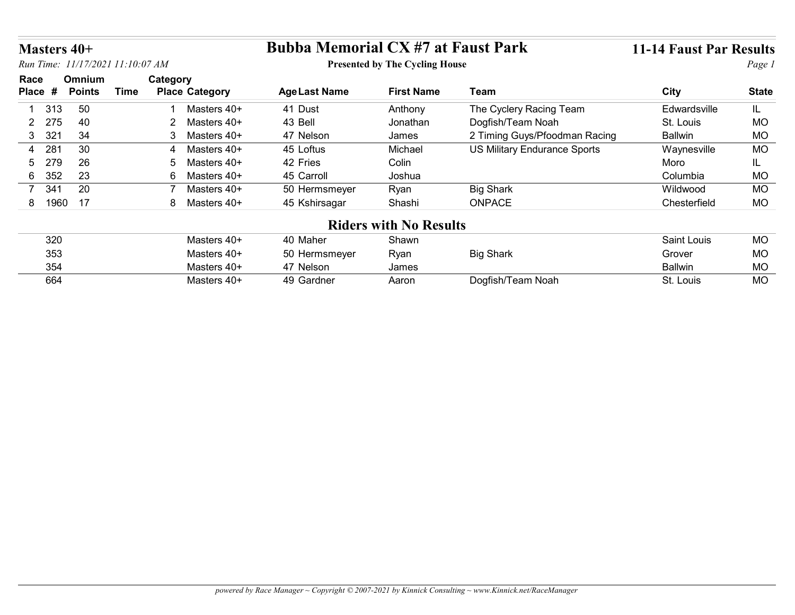| Masters 40+           |                                  |                                      | <b>Bubba Memorial CX #7 at Faust Park</b> |                                       |                                     | <b>11-14 Faust Par Results</b> |              |
|-----------------------|----------------------------------|--------------------------------------|-------------------------------------------|---------------------------------------|-------------------------------------|--------------------------------|--------------|
|                       | Run Time: 11/17/2021 11:10:07 AM |                                      |                                           | <b>Presented by The Cycling House</b> |                                     |                                | Page 1       |
| Race                  | Omnium                           | Category                             |                                           |                                       |                                     |                                |              |
| Place #               | <b>Points</b>                    | <b>Time</b><br><b>Place Category</b> | <b>Age Last Name</b>                      | <b>First Name</b>                     | Team                                | <b>City</b>                    | <b>State</b> |
| 313                   | 50                               | Masters 40+                          | 41 Dust                                   | Anthony                               | The Cyclery Racing Team             | Edwardsville                   | IL.          |
| 275<br>$\mathbf{2}$   | 40                               | $\overline{2}$<br>Masters 40+        | 43 Bell                                   | Jonathan                              | Dogfish/Team Noah                   | St. Louis                      | <b>MO</b>    |
| 3 321                 | 34                               | $\mathbf{3}$<br>Masters 40+          | 47 Nelson                                 | James                                 | 2 Timing Guys/Pfoodman Racing       | <b>Ballwin</b>                 | <b>MO</b>    |
| 281<br>4              | 30                               | Masters 40+<br>4                     | 45 Loftus                                 | Michael                               | <b>US Military Endurance Sports</b> | Waynesville                    | MO           |
| 279<br>5.             | 26                               | Masters 40+<br>5                     | 42 Fries                                  | Colin                                 |                                     | Moro                           | IL.          |
| 352<br>6              | 23                               | 6<br>Masters 40+                     | 45 Carroll                                | Joshua                                |                                     | Columbia                       | MO           |
|                       | 20                               | $\overline{7}$<br>Masters 40+        | 50 Hermsmeyer                             | Ryan                                  | <b>Big Shark</b>                    | Wildwood                       | <b>MO</b>    |
| 341<br>$\overline{7}$ |                                  | 8 Masters 40+                        | 45 Kshirsagar                             | Shashi                                | ONPACE                              | Chesterfield                   | <b>MO</b>    |
| 8 1960                | 17                               |                                      |                                           |                                       |                                     |                                |              |
|                       |                                  |                                      | <b>Riders with No Results</b>             |                                       |                                     |                                |              |
| 320                   |                                  | Masters 40+                          | 40 Maher                                  | Shawn                                 |                                     | Saint Louis                    | <b>MO</b>    |
|                       |                                  |                                      |                                           |                                       |                                     |                                |              |
| 353<br>354            |                                  | Masters 40+<br>Masters 40+           | 50 Hermsmeyer<br>47 Nelson                | Ryan<br>James                         | <b>Big Shark</b>                    | Grover<br><b>Ballwin</b>       | MO<br>MO     |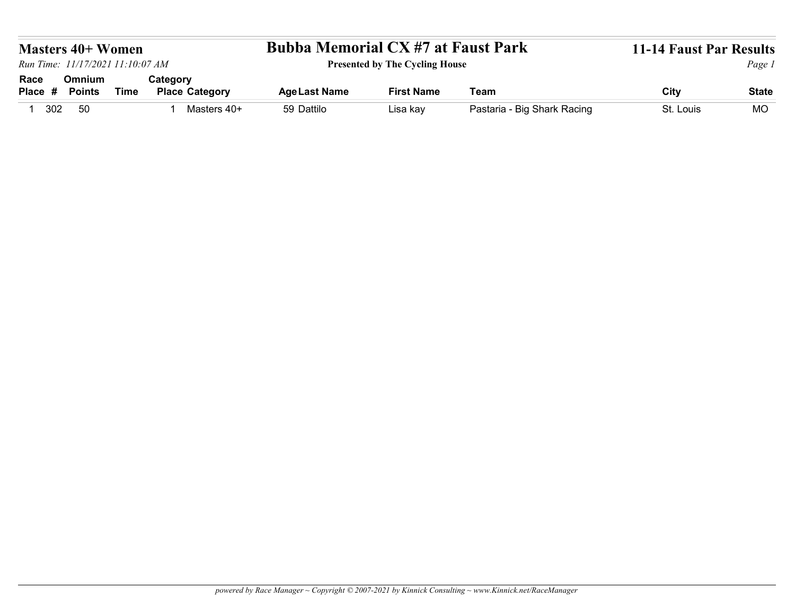|                                                                                                                                               | <b>Bubba Memorial CX #7 at Faust Park</b><br><b>Presented by The Cycling House</b><br>Omnium<br>Category            |
|-----------------------------------------------------------------------------------------------------------------------------------------------|---------------------------------------------------------------------------------------------------------------------|
|                                                                                                                                               | <b>Masters 40+ Women</b><br>Race                                                                                    |
|                                                                                                                                               | <b>11-14 Faust Par Results</b><br>Page 1                                                                            |
|                                                                                                                                               |                                                                                                                     |
|                                                                                                                                               |                                                                                                                     |
|                                                                                                                                               |                                                                                                                     |
|                                                                                                                                               |                                                                                                                     |
|                                                                                                                                               |                                                                                                                     |
|                                                                                                                                               |                                                                                                                     |
|                                                                                                                                               |                                                                                                                     |
|                                                                                                                                               |                                                                                                                     |
|                                                                                                                                               |                                                                                                                     |
|                                                                                                                                               |                                                                                                                     |
| Run Time: 11/17/2021 11:10:07 AM                                                                                                              |                                                                                                                     |
|                                                                                                                                               |                                                                                                                     |
|                                                                                                                                               |                                                                                                                     |
| City<br><b>Place Category</b><br>Team<br><b>Points</b><br><b>Time</b><br><b>Age Last Name</b><br><b>First Name</b><br><b>State</b><br>Place # | 50<br>59 Dattilo<br>Pastaria - Big Shark Racing<br>1 302<br>Masters 40+<br>St. Louis<br><b>MO</b><br>Lisa kay<br>-1 |
|                                                                                                                                               |                                                                                                                     |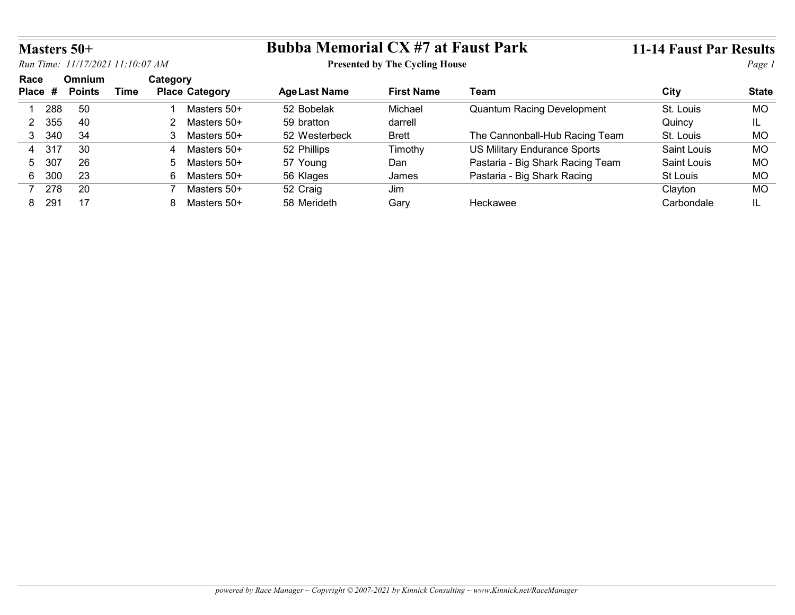|                        | Masters 50+                      |             |                 |                       | <b>Bubba Memorial CX #7 at Faust Park</b> |                                       |                                     | <b>11-14 Faust Par Results</b> |              |
|------------------------|----------------------------------|-------------|-----------------|-----------------------|-------------------------------------------|---------------------------------------|-------------------------------------|--------------------------------|--------------|
|                        | Run Time: 11/17/2021 11:10:07 AM |             |                 |                       |                                           | <b>Presented by The Cycling House</b> |                                     |                                | Page 1       |
| Race                   | Omnium<br><b>Points</b>          | <b>Time</b> | Category        | <b>Place Category</b> | <b>Age Last Name</b>                      | <b>First Name</b>                     | Team                                | <b>City</b>                    | <b>State</b> |
| Place #                |                                  |             |                 | Masters 50+           | 52 Bobelak                                | Michael                               | <b>Quantum Racing Development</b>   | St. Louis                      | <b>MO</b>    |
| 288<br>-1              | 50                               |             | -1              |                       |                                           |                                       |                                     |                                |              |
| 355<br>$\overline{2}$  | 40                               |             |                 | 2 Masters 50+         | 59 bratton                                | darrell                               |                                     | Quincy                         | IL.          |
| 3 340                  | 34                               |             |                 | 3 Masters 50+         | 52 Westerbeck                             | <b>Brett</b>                          | The Cannonball-Hub Racing Team      | St. Louis                      | MO           |
| 4 317                  | 30                               |             | 4               | Masters 50+           | 52 Phillips                               | Timothy                               | <b>US Military Endurance Sports</b> | Saint Louis                    | <b>MO</b>    |
| 307<br>5               | 26                               |             | $5\overline{)}$ | Masters 50+           | 57 Young                                  | Dan                                   | Pastaria - Big Shark Racing Team    | Saint Louis                    | <b>MO</b>    |
| 300<br>$6\overline{6}$ | 23                               |             |                 | 6 Masters 50+         | 56 Klages                                 | James                                 | Pastaria - Big Shark Racing         | St Louis                       | <b>MO</b>    |
| 7 278                  | 20                               |             | $\overline{7}$  | Masters 50+           | 52 Craig                                  | Jim                                   |                                     | Clayton                        | <b>MO</b>    |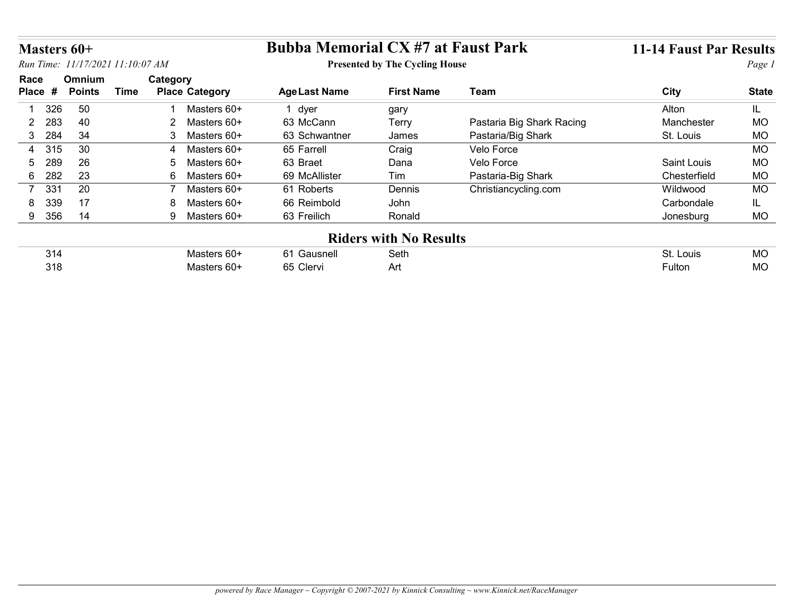| Masters 60+   |                                |                                                             |                               |                           |                                                                                                            |                                |
|---------------|--------------------------------|-------------------------------------------------------------|-------------------------------|---------------------------|------------------------------------------------------------------------------------------------------------|--------------------------------|
|               |                                |                                                             |                               |                           |                                                                                                            | Page 1                         |
| <b>Points</b> | <b>Place Category</b>          | <b>Age Last Name</b>                                        | <b>First Name</b>             | <b>Team</b>               | <b>City</b>                                                                                                | <b>State</b>                   |
| 50            | Masters 60+                    | 1 dyer                                                      |                               |                           | Alton                                                                                                      | IL.                            |
| 40            | Masters 60+<br>$\overline{2}$  | 63 McCann                                                   | <b>Terry</b>                  | Pastaria Big Shark Racing | Manchester                                                                                                 | MO                             |
| 34            | 3<br>Masters 60+               | 63 Schwantner                                               | James                         | Pastaria/Big Shark        | St. Louis                                                                                                  | <b>MO</b>                      |
| 30            | Masters 60+<br>4               | 65 Farrell                                                  | Craig                         | Velo Force                |                                                                                                            | <b>MO</b>                      |
| 26            | Masters 60+<br>5               | 63 Braet                                                    | Dana                          | Velo Force                | Saint Louis                                                                                                | <b>MO</b>                      |
| 23            | $6\overline{6}$<br>Masters 60+ | 69 McAllister                                               | Tim                           | Pastaria-Big Shark        | Chesterfield                                                                                               | MO                             |
|               | $\overline{7}$<br>Masters 60+  | 61 Roberts                                                  | Dennis                        |                           | Wildwood                                                                                                   | <b>MO</b>                      |
| 17            | Masters 60+<br>8               | 66 Reimbold                                                 | John                          |                           | Carbondale                                                                                                 | IL.                            |
| 14            | 9 Masters 60+                  | 63 Freilich                                                 | Ronald                        |                           | Jonesburg                                                                                                  | <b>MO</b>                      |
|               |                                |                                                             | <b>Riders with No Results</b> |                           |                                                                                                            |                                |
|               |                                |                                                             |                               |                           |                                                                                                            |                                |
|               | Masters 60+                    | 61 Gausnell                                                 | Seth                          |                           | St. Louis                                                                                                  | MO                             |
|               | Omnium<br>20                   | Run Time: 11/17/2021 11:10:07 AM<br>Category<br><b>Time</b> |                               | gary                      | <b>Bubba Memorial CX #7 at Faust Park</b><br><b>Presented by The Cycling House</b><br>Christiancycling.com | <b>11-14 Faust Par Results</b> |

| $\sim$<br>J 14 | $\sim$<br>- 00 | Gausnell               | Seth | Louis<br>JL. | <b>MC</b> |
|----------------|----------------|------------------------|------|--------------|-----------|
| 318            | . U U          | 65<br>$\sim$<br>Clervi | Αn   | ∙uiton       | <b>MC</b> |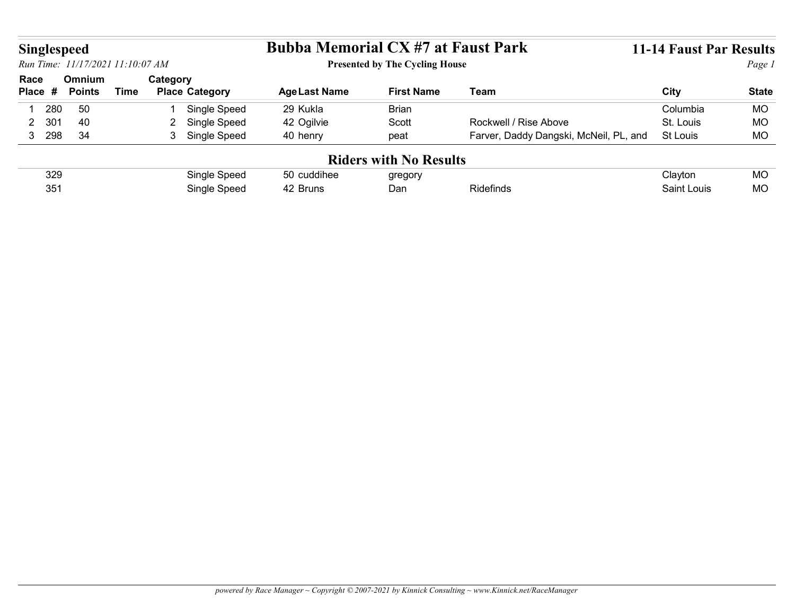| <b>Bubba Memorial CX #7 at Faust Park</b><br><b>Singlespeed</b><br>Run Time: 11/17/2021 11:10:07 AM<br><b>Presented by The Cycling House</b><br>Category<br>Omnium<br>Race<br><b>Time</b><br><b>Place Category</b><br><b>Age Last Name</b><br><b>First Name</b><br><b>Team</b><br>City<br>Place #<br><b>Points</b><br>50<br>Single Speed<br>29 Kukla<br><b>Brian</b><br>280<br>Columbia<br>2 Single Speed<br>Rockwell / Rise Above<br>301<br>40<br>42 Ogilvie<br>St. Louis<br>Scott<br>$\overline{2}$<br>34<br>3 Single Speed<br>3 298<br>Farver, Daddy Dangski, McNeil, PL, and<br>40 henry<br>St Louis<br>peat<br><b>Riders with No Results</b><br>Single Speed<br>329<br>50 cuddihee<br>Clayton<br>gregory<br>351 |  |              |          |     |           |             |              |
|----------------------------------------------------------------------------------------------------------------------------------------------------------------------------------------------------------------------------------------------------------------------------------------------------------------------------------------------------------------------------------------------------------------------------------------------------------------------------------------------------------------------------------------------------------------------------------------------------------------------------------------------------------------------------------------------------------------------|--|--------------|----------|-----|-----------|-------------|--------------|
| <b>11-14 Faust Par Results</b><br><b>MO</b><br><b>MO</b><br><b>MO</b><br><b>MO</b>                                                                                                                                                                                                                                                                                                                                                                                                                                                                                                                                                                                                                                   |  |              |          |     |           |             |              |
|                                                                                                                                                                                                                                                                                                                                                                                                                                                                                                                                                                                                                                                                                                                      |  |              |          |     |           |             |              |
|                                                                                                                                                                                                                                                                                                                                                                                                                                                                                                                                                                                                                                                                                                                      |  |              |          |     |           |             |              |
|                                                                                                                                                                                                                                                                                                                                                                                                                                                                                                                                                                                                                                                                                                                      |  |              |          |     |           |             |              |
|                                                                                                                                                                                                                                                                                                                                                                                                                                                                                                                                                                                                                                                                                                                      |  |              |          |     |           |             |              |
|                                                                                                                                                                                                                                                                                                                                                                                                                                                                                                                                                                                                                                                                                                                      |  |              |          |     |           |             |              |
|                                                                                                                                                                                                                                                                                                                                                                                                                                                                                                                                                                                                                                                                                                                      |  |              |          |     |           |             |              |
|                                                                                                                                                                                                                                                                                                                                                                                                                                                                                                                                                                                                                                                                                                                      |  |              |          |     |           |             |              |
|                                                                                                                                                                                                                                                                                                                                                                                                                                                                                                                                                                                                                                                                                                                      |  |              |          |     |           |             |              |
|                                                                                                                                                                                                                                                                                                                                                                                                                                                                                                                                                                                                                                                                                                                      |  |              |          |     |           |             |              |
|                                                                                                                                                                                                                                                                                                                                                                                                                                                                                                                                                                                                                                                                                                                      |  |              |          |     |           |             |              |
|                                                                                                                                                                                                                                                                                                                                                                                                                                                                                                                                                                                                                                                                                                                      |  |              |          |     |           |             | Page 1       |
|                                                                                                                                                                                                                                                                                                                                                                                                                                                                                                                                                                                                                                                                                                                      |  |              |          |     |           |             |              |
|                                                                                                                                                                                                                                                                                                                                                                                                                                                                                                                                                                                                                                                                                                                      |  |              |          |     |           |             |              |
|                                                                                                                                                                                                                                                                                                                                                                                                                                                                                                                                                                                                                                                                                                                      |  |              |          |     |           |             |              |
|                                                                                                                                                                                                                                                                                                                                                                                                                                                                                                                                                                                                                                                                                                                      |  |              |          |     |           |             |              |
|                                                                                                                                                                                                                                                                                                                                                                                                                                                                                                                                                                                                                                                                                                                      |  |              |          |     |           |             |              |
|                                                                                                                                                                                                                                                                                                                                                                                                                                                                                                                                                                                                                                                                                                                      |  |              |          |     |           |             |              |
|                                                                                                                                                                                                                                                                                                                                                                                                                                                                                                                                                                                                                                                                                                                      |  |              |          |     |           |             |              |
|                                                                                                                                                                                                                                                                                                                                                                                                                                                                                                                                                                                                                                                                                                                      |  | Single Speed | 42 Bruns | Dan | Ridefinds | Saint Louis | <b>MO</b>    |
|                                                                                                                                                                                                                                                                                                                                                                                                                                                                                                                                                                                                                                                                                                                      |  |              |          |     |           |             | <b>State</b> |
|                                                                                                                                                                                                                                                                                                                                                                                                                                                                                                                                                                                                                                                                                                                      |  |              |          |     |           |             |              |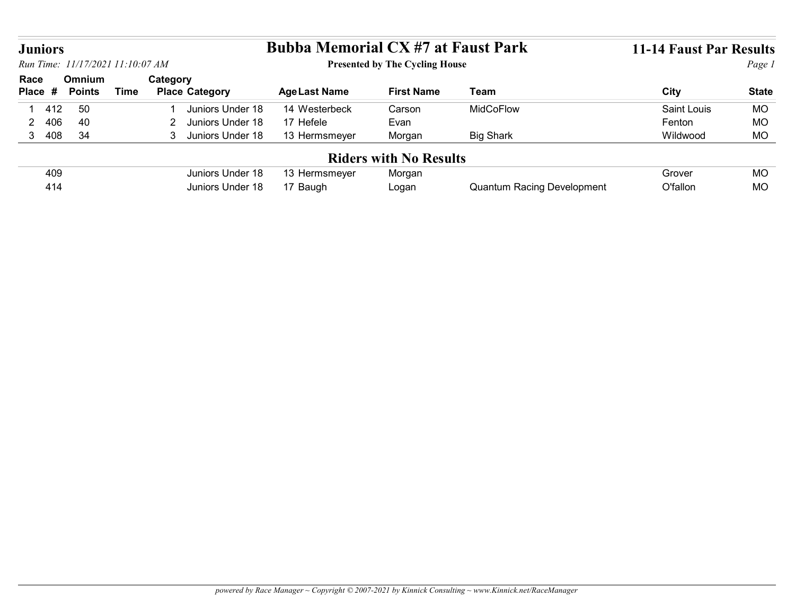|                                                            |                         |             |                                    | <b>Bubba Memorial CX #7 at Faust Park</b> |                                       |                  | <b>11-14 Faust Par Results</b> |              |
|------------------------------------------------------------|-------------------------|-------------|------------------------------------|-------------------------------------------|---------------------------------------|------------------|--------------------------------|--------------|
|                                                            |                         |             |                                    |                                           | <b>Presented by The Cycling House</b> |                  |                                | Page 1       |
| <b>Juniors</b><br>Run Time: 11/17/2021 11:10:07 AM<br>Race | Omnium<br><b>Points</b> | <b>Time</b> | Category<br><b>Place Category</b>  | <b>Age Last Name</b>                      | <b>First Name</b>                     | <b>Team</b>      | <b>City</b>                    | <b>State</b> |
| 412<br>-1                                                  | 50                      |             | Juniors Under 18                   | 14 Westerbeck                             | Carson                                | MidCoFlow        | <b>Saint Louis</b>             | <b>MO</b>    |
| 406<br>$\overline{2}$                                      | 40                      |             | Juniors Under 18<br>$\overline{2}$ | 17 Hefele                                 | Evan                                  |                  | Fenton                         | <b>MO</b>    |
| 408<br>3 <sup>7</sup>                                      | 34                      |             | 3 Juniors Under 18                 | 13 Hermsmeyer                             | Morgan                                | <b>Big Shark</b> | Wildwood                       | <b>MO</b>    |
| Place #                                                    |                         |             |                                    |                                           | <b>Riders with No Results</b>         |                  |                                |              |
| 409                                                        |                         |             | Juniors Under 18                   | 13 Hermsmeyer                             | Morgan                                |                  | Grover                         | <b>MO</b>    |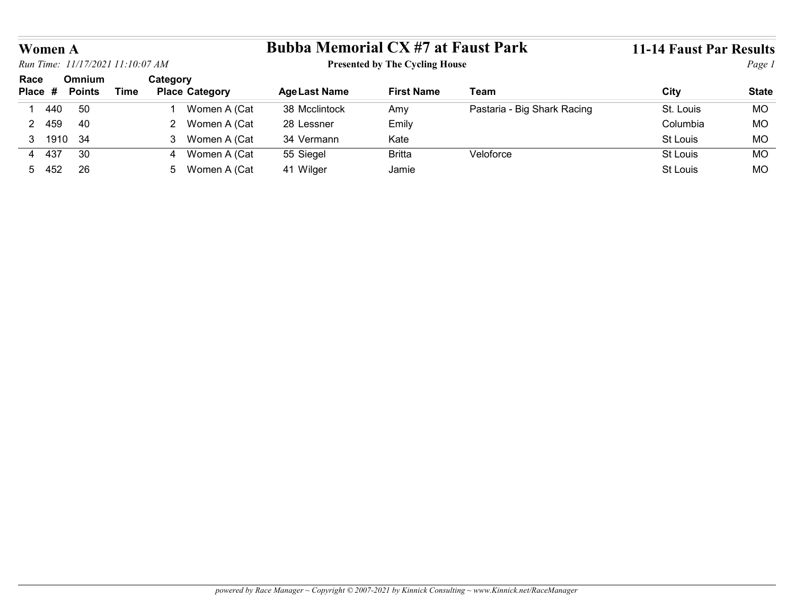|         |               |                                  |                                | <b>Bubba Memorial CX #7 at Faust Park</b> |                                       |                             | <b>11-14 Faust Par Results</b> |              |
|---------|---------------|----------------------------------|--------------------------------|-------------------------------------------|---------------------------------------|-----------------------------|--------------------------------|--------------|
| Women A |               | Run Time: 11/17/2021 11:10:07 AM |                                |                                           | <b>Presented by The Cycling House</b> |                             |                                | Page 1       |
| Race    | Omnium        |                                  | Category                       |                                           |                                       |                             |                                |              |
| Place # | <b>Points</b> | <b>Time</b>                      | <b>Place Category</b>          | <b>Age Last Name</b>                      | <b>First Name</b>                     | <b>Team</b>                 | City                           | <b>State</b> |
| 440     | 50            |                                  | Women A (Cat                   | 38 Mcclintock                             | Amy                                   | Pastaria - Big Shark Racing | St. Louis                      | <b>MO</b>    |
| 2 459   | 40            |                                  | 2 Women A (Cat                 | 28 Lessner                                | Emily                                 |                             | Columbia                       | MO           |
| 3 1910  | 34            |                                  | 3 Women A (Cat                 | 34 Vermann                                | Kate                                  |                             | St Louis                       | MO           |
| 4 437   | 30            |                                  | Women A (Cat<br>$\overline{4}$ | 55 Siegel                                 | <b>Britta</b>                         | Veloforce                   | St Louis                       | <b>MO</b>    |
| 5 452   | 26            |                                  | 5 Women A (Cat                 | 41 Wilger                                 | Jamie                                 |                             | St Louis                       | MO           |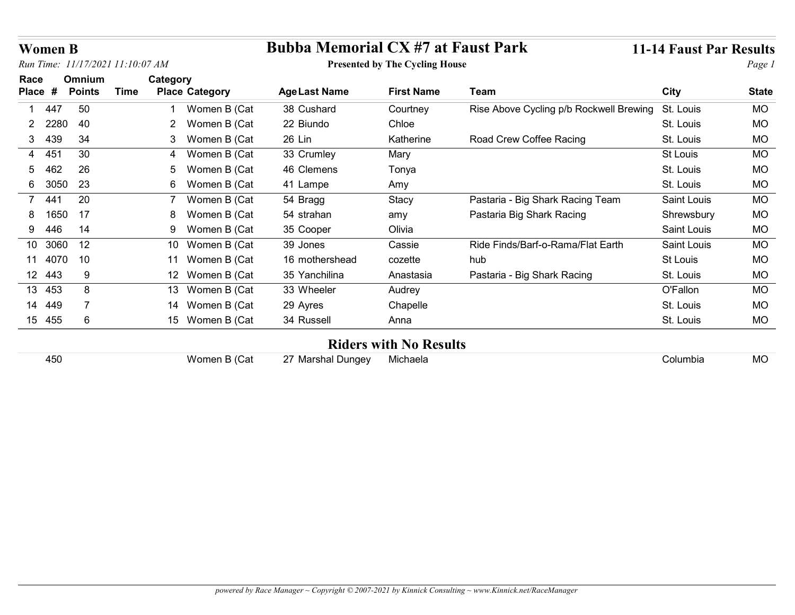| <b>Women B</b>       |      |                                  |             |                       | <b>Bubba Memorial CX #7 at Faust Park</b> |                                       |                                         | <b>11-14 Faust Par Results</b> |              |
|----------------------|------|----------------------------------|-------------|-----------------------|-------------------------------------------|---------------------------------------|-----------------------------------------|--------------------------------|--------------|
|                      |      | Run Time: 11/17/2021 11:10:07 AM |             |                       |                                           | <b>Presented by The Cycling House</b> |                                         |                                | Page 1       |
| Race                 |      | Omnium                           |             | Category              |                                           |                                       |                                         |                                |              |
| Place #              |      | <b>Points</b>                    | <b>Time</b> | <b>Place Category</b> | <b>Age Last Name</b>                      | <b>First Name</b>                     | <b>Team</b>                             | <b>City</b>                    | <b>State</b> |
| 447                  |      | 50                               |             | Women B (Cat          | 38 Cushard                                | Courtney                              | Rise Above Cycling p/b Rockwell Brewing | St. Louis                      | <b>MO</b>    |
| 2 2280               |      | 40                               |             | 2 Women B (Cat        | 22 Biundo                                 | Chloe                                 |                                         | St. Louis                      | <b>MO</b>    |
| 439<br>3             |      | 34                               |             | 3 Women B (Cat        | 26 Lin                                    | Katherine                             | Road Crew Coffee Racing                 | St. Louis                      | <b>MO</b>    |
| 4 451                |      | 30                               |             | Women B (Cat<br>4     | 33 Crumley                                | Mary                                  |                                         | St Louis                       | <b>MO</b>    |
| 462<br>5.            |      | 26                               |             | Women B (Cat<br>5     | 46 Clemens                                | Tonya                                 |                                         | St. Louis                      | <b>MO</b>    |
| 6 3050               |      | 23                               |             | 6 Women B (Cat        | 41 Lampe                                  | Amy                                   |                                         | St. Louis                      | <b>MO</b>    |
| 44 <sup>°</sup><br>7 |      | 20                               |             | 7<br>Women B (Cat     | 54 Bragg                                  | Stacy                                 | Pastaria - Big Shark Racing Team        | Saint Louis                    | <b>MO</b>    |
|                      | 1650 | 17                               |             | Women B (Cat<br>8     | 54 strahan                                | amy                                   | Pastaria Big Shark Racing               | Shrewsbury                     | <b>MO</b>    |
| 446<br>9             |      | 14                               |             | Women B (Cat<br>9     | 35 Cooper                                 | Olivia                                |                                         | Saint Louis                    | <b>MO</b>    |
| 10 3060              |      | 12                               |             | 10 Women B (Cat       | 39 Jones                                  | Cassie                                | Ride Finds/Barf-o-Rama/Flat Earth       | Saint Louis                    | <b>MO</b>    |
| 11 4070 10           |      |                                  |             | 11 Women B (Cat       | 16 mothershead                            | cozette                               | hub                                     | St Louis                       | MO           |
| 12 443               |      | 9                                |             | 12 Women B (Cat       | 35 Yanchilina                             | Anastasia                             | Pastaria - Big Shark Racing             | St. Louis                      | MO           |
| 13 453               |      | 8                                |             | 13 Women B (Cat       | 33 Wheeler                                | Audrey                                |                                         | O'Fallon                       | MO           |
| 14 449               |      | $\overline{7}$                   |             | 14 Women B (Cat       | 29 Ayres                                  | Chapelle                              |                                         | St. Louis                      | MO           |
| 15 455               |      | $6\phantom{1}6$                  |             | 15 Women B (Cat       | 34 Russell                                | Anna                                  |                                         | St. Louis                      | <b>MO</b>    |
|                      |      |                                  |             |                       |                                           | <b>Riders with No Results</b>         |                                         |                                |              |
|                      | 450  |                                  |             | Women B (Cat          | 27 Marshal Dungey                         | Michaela                              |                                         | Columbia                       | MO           |

## Riders with No Results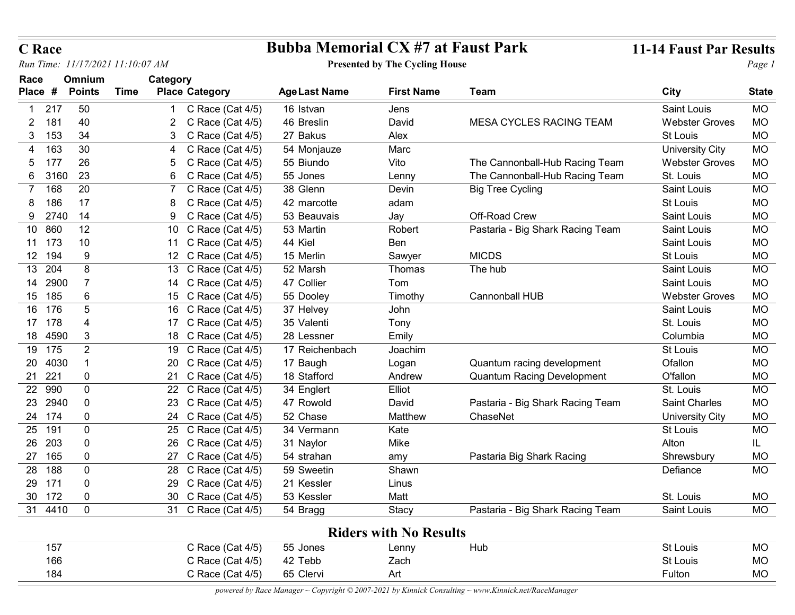| <b>C</b> Race                                  |                                            | <b>Bubba Memorial CX #7 at Faust Park</b> |                                       |                                   | <b>11-14 Faust Par Results</b> |              |
|------------------------------------------------|--------------------------------------------|-------------------------------------------|---------------------------------------|-----------------------------------|--------------------------------|--------------|
| Run Time: 11/17/2021 11:10:07 AM               |                                            |                                           | <b>Presented by The Cycling House</b> |                                   |                                | Page 1       |
| Race<br><b>Omnium</b>                          | Category                                   |                                           |                                       |                                   |                                |              |
| Place #<br><b>Time</b><br><b>Points</b>        | <b>Place Category</b>                      | <b>Age Last Name</b>                      | <b>First Name</b>                     | Team                              | City                           | <b>State</b> |
| 50<br>217                                      | C Race (Cat 4/5)                           | 16 Istvan                                 | Jens                                  |                                   | Saint Louis                    | <b>MO</b>    |
| 181<br>40                                      | C Race (Cat $4/5$ )                        | 46 Breslin                                | David                                 | MESA CYCLES RACING TEAM           | <b>Webster Groves</b>          | MO           |
| 153<br>34<br>3                                 | C Race (Cat 4/5)                           | 27 Bakus                                  | Alex                                  |                                   | St Louis                       | MO           |
| 163<br>30                                      | C Race (Cat 4/5)                           | 54 Monjauze                               | Marc                                  |                                   | <b>University City</b>         | MO           |
| 26<br>177                                      | C Race (Cat 4/5)                           | 55 Biundo                                 | Vito                                  | The Cannonball-Hub Racing Team    | <b>Webster Groves</b>          | MO           |
| 23<br>3160<br>6<br>168<br>20                   | C<br>Race (Cat 4/5)<br>6                   | 55 Jones                                  | Lenny                                 | The Cannonball-Hub Racing Team    | St. Louis                      | MO<br>MO     |
| 186<br>17                                      | C Race (Cat 4/5)                           | 38 Glenn<br>42 marcotte                   | Devin<br>adam                         | <b>Big Tree Cycling</b>           | Saint Louis<br>St Louis        | <b>MO</b>    |
| 14<br>9 2740                                   | C Race (Cat 4/5)<br>9 C Race (Cat 4/5)     | 53 Beauvais                               | Jay                                   | Off-Road Crew                     | Saint Louis                    | MO           |
| 10 860<br>12                                   | 10 C Race (Cat 4/5)                        | 53 Martin                                 | Robert                                | Pastaria - Big Shark Racing Team  | Saint Louis                    | MO           |
| 10<br>11 173                                   | 11 C Race (Cat 4/5)                        | 44 Kiel                                   | Ben                                   |                                   | Saint Louis                    | <b>MO</b>    |
| 12 194<br>9                                    | 12 C Race (Cat 4/5)                        | 15 Merlin                                 | Sawyer                                | <b>MICDS</b>                      | St Louis                       | <b>MO</b>    |
| 13 204<br>8                                    | 13 C Race (Cat 4/5)                        | 52 Marsh                                  | Thomas                                | The hub                           | Saint Louis                    | MO           |
| 14 2900<br>-7                                  | 14 C Race (Cat 4/5)                        | 47 Collier                                | Tom                                   |                                   | Saint Louis                    | <b>MO</b>    |
| 15 185<br>6                                    | 15 C Race (Cat 4/5)                        | 55 Dooley                                 | Timothy                               | Cannonball HUB                    | <b>Webster Groves</b>          | MO           |
| 16 176<br>$\sqrt{5}$                           | 16 C Race (Cat 4/5)                        | 37 Helvey                                 | John                                  |                                   | Saint Louis                    | MO           |
| 17 178<br>4                                    | 17 C Race (Cat 4/5)                        | 35 Valenti                                | Tony                                  |                                   | St. Louis                      | MO           |
| 18 4590<br>3                                   | 18 C Race (Cat 4/5)                        | 28 Lessner                                | Emily                                 |                                   | Columbia                       | MO           |
| 19 175<br>$\overline{2}$                       | 19 C Race (Cat 4/5)                        | 17 Reichenbach                            | Joachim                               |                                   | St Louis                       | MO           |
| 20 4030                                        | 20 C Race (Cat 4/5)                        | 17 Baugh                                  | Logan                                 | Quantum racing development        | Ofallon                        | MO           |
| 21 221<br>$\mathbf 0$                          | 21 C Race (Cat 4/5)                        | 18 Stafford                               | Andrew                                | <b>Quantum Racing Development</b> | O'fallon                       | <b>MO</b>    |
| 22 990<br>$\mathbf 0$                          | 22 C Race (Cat 4/5)                        | 34 Englert                                | Elliot                                |                                   | St. Louis                      | MO           |
| 23 2940<br>0                                   | 23 C Race (Cat 4/5)                        | 47 Rowold                                 | David                                 | Pastaria - Big Shark Racing Team  | Saint Charles                  | MO           |
| 24 174<br>$\mathbf 0$                          | 24 C Race (Cat 4/5)                        | 52 Chase                                  | Matthew                               | ChaseNet                          | <b>University City</b>         | <b>MO</b>    |
| 25 191<br>0                                    | 25 C Race (Cat 4/5)                        | 34 Vermann                                | Kate                                  |                                   | St Louis                       | MO           |
| 26 203<br>0                                    | 26 C Race (Cat 4/5)                        | 31 Naylor                                 | Mike                                  |                                   | Alton                          | IL.          |
| 27 165<br>0                                    | 27 C Race (Cat 4/5)                        | 54 strahan                                | amy                                   | Pastaria Big Shark Racing         | Shrewsbury                     | MO           |
| 28 188<br>$\mathbf 0$                          | 28 C Race (Cat 4/5)                        | 59 Sweetin                                | Shawn                                 |                                   | Defiance                       | <b>MO</b>    |
| 29 171<br>$\mathbf 0$<br>30 172<br>$\mathbf 0$ | 29 C Race (Cat 4/5)                        | 21 Kessler                                | Linus                                 |                                   |                                |              |
| 31 4410<br>$\overline{0}$                      | 30 C Race (Cat 4/5)<br>31 C Race (Cat 4/5) | 53 Kessler                                | Matt                                  | Pastaria - Big Shark Racing Team  | St. Louis<br>Saint Louis       | MO<br>MO     |
|                                                |                                            | 54 Bragg                                  | Stacy                                 |                                   |                                |              |
|                                                |                                            |                                           | <b>Riders with No Results</b>         |                                   |                                |              |
| 157                                            | C Race (Cat 4/5)                           | 55 Jones                                  | Lenny                                 | Hub                               | St Louis                       | MO           |
| 166                                            | C Race (Cat 4/5)                           | 42 Tebb                                   | Zach                                  |                                   | <b>St Louis</b>                | <b>MO</b>    |
| 184                                            | C Race (Cat 4/5)                           | 65 Clervi                                 | Art                                   |                                   | Fulton                         | MO           |

## C Race Bubba Memorial CX #7 at Faust Park 11-14 Faust Par Results

## Presented by The Cycling House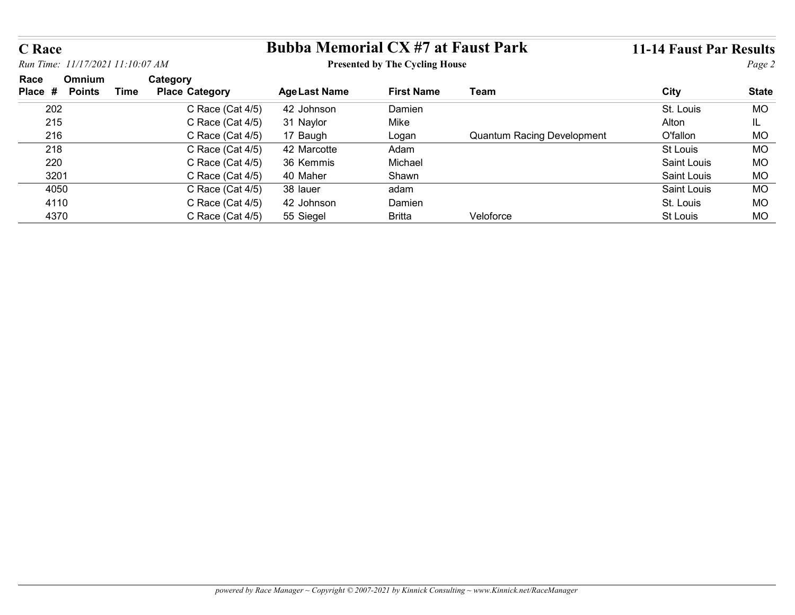| <b>C</b> Race  |                                  |                       | <b>Bubba Memorial CX #7 at Faust Park</b> |                                       |                                   | <b>11-14 Faust Par Results</b> |              |
|----------------|----------------------------------|-----------------------|-------------------------------------------|---------------------------------------|-----------------------------------|--------------------------------|--------------|
|                | Run Time: 11/17/2021 11:10:07 AM |                       |                                           | <b>Presented by The Cycling House</b> |                                   |                                | Page 2       |
| Race           | Omnium                           | Category              |                                           |                                       |                                   |                                |              |
|                |                                  | <b>Place Category</b> | <b>Age Last Name</b>                      | <b>First Name</b>                     | <b>Team</b>                       | City                           | <b>State</b> |
|                | <b>Time</b><br><b>Points</b>     |                       |                                           |                                       |                                   |                                |              |
| 202            |                                  | C Race (Cat 4/5)      | 42 Johnson                                | Damien                                |                                   | St. Louis                      | <b>MO</b>    |
| Place #<br>215 |                                  | C Race (Cat 4/5)      | 31 Naylor                                 | Mike                                  |                                   | Alton                          | IL.          |
| 216            |                                  | C Race (Cat 4/5)      | 17 Baugh                                  | Logan                                 | <b>Quantum Racing Development</b> | <b>O'fallon</b>                | <b>MO</b>    |
| 218            |                                  | C Race (Cat 4/5)      | 42 Marcotte                               | Adam                                  |                                   | St Louis                       | <b>MO</b>    |
| 220            |                                  | C Race (Cat 4/5)      | 36 Kemmis                                 | Michael                               |                                   | Saint Louis                    | <b>MO</b>    |
| 3201           |                                  | C Race (Cat 4/5)      | 40 Maher                                  | Shawn                                 |                                   | Saint Louis                    | MO           |
| 4050           |                                  | C Race (Cat 4/5)      | 38 lauer                                  | adam                                  |                                   | Saint Louis                    | <b>MO</b>    |
| 4110           |                                  | C Race (Cat 4/5)      | 42 Johnson                                | Damien                                |                                   | St. Louis                      | <b>MO</b>    |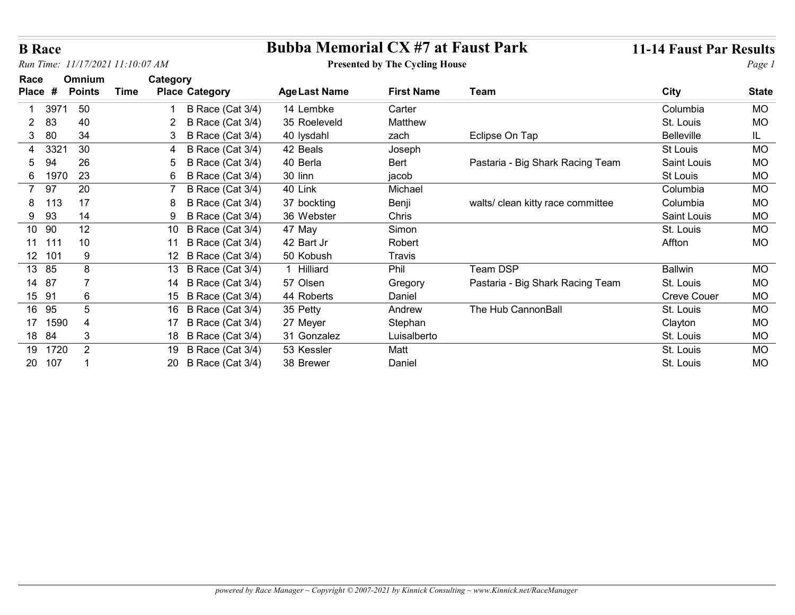|  |  | powered by Race Manager ~ Copyright $\odot$ 2007-2021 by Kinnick Consulting ~ www.Kinnick.net/RaceManager |
|--|--|-----------------------------------------------------------------------------------------------------------|
|  |  |                                                                                                           |

|                             | <b>B</b> Race<br>Run Time: 11/17/2021 11:10:07 AM |                |             |          |                       | <b>Bubba Memorial CX #7 at Faust Park</b> |                                       |                                   | <b>11-14 Faust Par Results</b> |              |  |
|-----------------------------|---------------------------------------------------|----------------|-------------|----------|-----------------------|-------------------------------------------|---------------------------------------|-----------------------------------|--------------------------------|--------------|--|
| Race                        |                                                   | Omnium         |             | Category |                       |                                           | <b>Presented by The Cycling House</b> |                                   |                                | Page 1       |  |
| Place #                     |                                                   | <b>Points</b>  | <b>Time</b> |          | <b>Place Category</b> | <b>Age Last Name</b>                      | <b>First Name</b>                     | Team                              | <b>City</b>                    | <b>State</b> |  |
| -1                          | 3971                                              | 50             |             |          | B Race (Cat 3/4)      | 14 Lembke                                 | Carter                                |                                   | Columbia                       | <b>MO</b>    |  |
| 83<br>$\mathbf{2}^{\prime}$ |                                                   | 40             |             | 2        | B Race (Cat 3/4)      | 35 Roeleveld                              | Matthew                               |                                   | St. Louis                      | MO           |  |
| 3 80                        |                                                   | 34             |             | 3        | B Race (Cat 3/4)      | 40 lysdahl                                | zach                                  | Eclipse On Tap                    | <b>Belleville</b>              | IL.          |  |
| 4                           | 332 <sup>2</sup>                                  | 30             |             | 4        | B Race (Cat 3/4)      | 42 Beals                                  | Joseph                                |                                   | <b>St Louis</b>                | MO           |  |
| 94<br>5                     |                                                   | 26             |             | 5        | B Race (Cat 3/4)      | 40 Berla                                  | Bert                                  | Pastaria - Big Shark Racing Team  | Saint Louis                    | MO           |  |
| 6 1970                      |                                                   | 23             |             | 6        | B Race (Cat 3/4)      | 30 linn                                   | jacob                                 |                                   | <b>St Louis</b>                | <b>MO</b>    |  |
| 97<br>7                     |                                                   | 20             |             |          | B Race (Cat 3/4)      | 40 Link                                   | Michael                               |                                   | Columbia                       | MO           |  |
| 8 113                       |                                                   | 17             |             | 8        | B Race (Cat 3/4)      | 37 bockting                               | Benji                                 | walts/ clean kitty race committee | Columbia                       | <b>MO</b>    |  |
| 9 93                        |                                                   | 14             |             | 9        | B Race (Cat 3/4)      | 36 Webster                                | Chris                                 |                                   | Saint Louis                    | MO           |  |
| 10 90                       |                                                   | 12             |             |          | 10 B Race (Cat 3/4)   | 47 May                                    | Simon                                 |                                   | St. Louis                      | MO           |  |
| 11 111                      |                                                   | 10             |             |          | 11 B Race (Cat 3/4)   | 42 Bart Jr                                | Robert                                |                                   | Affton                         | <b>MO</b>    |  |
| 12 101                      |                                                   | 9              |             |          | 12 B Race (Cat 3/4)   | 50 Kobush                                 | <b>Travis</b>                         |                                   |                                |              |  |
| 13 85                       |                                                   | $\,8\,$        |             |          | 13 B Race (Cat 3/4)   | 1 Hilliard                                | Phil                                  | Team DSP                          | <b>Ballwin</b>                 | MO           |  |
| 14 87                       |                                                   | 7              |             |          | 14 B Race (Cat 3/4)   | 57 Olsen                                  | Gregory                               | Pastaria - Big Shark Racing Team  | St. Louis                      | MO           |  |
| 15 91                       |                                                   | $\,6\,$        |             |          | 15 B Race (Cat 3/4)   | 44 Roberts                                | Daniel                                |                                   | Creve Couer                    | MO           |  |
| 16 95                       |                                                   | $\sqrt{5}$     |             |          | 16 B Race (Cat 3/4)   | 35 Petty                                  | Andrew                                | The Hub CannonBall                | St. Louis                      | MO           |  |
| 17 1590                     |                                                   | $\overline{4}$ |             |          | 17 B Race (Cat 3/4)   | 27 Meyer                                  | Stephan                               |                                   | Clayton                        | MO           |  |
| 18 84                       |                                                   | $\mathbf{3}$   |             |          | 18 B Race (Cat 3/4)   | 31 Gonzalez                               | Luisalberto                           |                                   | St. Louis                      | MO           |  |
| 19 1720                     |                                                   | $\overline{2}$ |             |          | 19 B Race (Cat 3/4)   | 53 Kessler                                | Matt                                  |                                   | St. Louis                      | MO           |  |
| 20 107                      |                                                   | $\overline{1}$ |             |          | 20 B Race (Cat 3/4)   | 38 Brewer                                 | Daniel                                |                                   | St. Louis                      | MO           |  |

## B Race<br>
Bubba Memorial CX #7 at Faust Park 11-14 Faust Par Results<br>
Presented by The Cycling House Page 1